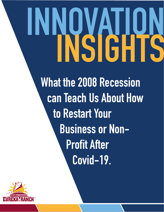## **INNOVATION INSIGHTS**

**What the 2008 Recession can Teach Us About How to Restart Your Business or Non-Profit After Covid-19.** 

EurekaRanch.com

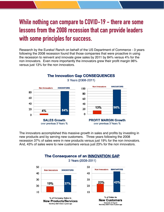## **While nothing can compare to COVID-19 - there are some lessons from the 2008 recession that can provide leaders with some principles for success.**

Research by the Eureka! Ranch on behalf of the US Department of Commerce - 3 years following the 2008 recession found that those companies that were proactive in using the recession to reinvent and innovate grew sales by 2011 by 84% versus 4% for the non innovators. Even more importantly the innovators grew their profit margin 96% versus just 13% for the non innovators.

**The Innovation Gap CONSEQUENCES** 



3 Years (2008-2011)

The innovators accomplished this massive growth in sales and profits by investing in new products and by serving new customers. Three years following the 2008 recession 37% of sales were in new products versus just 19% for the non innovators. And, 43% of sales were to new customers versus just 23% for the non innovators.

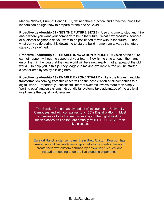Maggie Nichols, Eureka! Ranch CEO, defined three practical and proactive things that leaders can do right now to prepare for the end of Covid-19:

**Proactive Leadership #1 - SET THE FUTURE STATE -** Use this time to stop and think about where you want your company to be in the future. What new products, services or customer segments do you want to be positioned to win with in the future. Then what can you do during this downtime to start to build momentum towards the future state you've defined.

**Proactive Leadership #2 - ENABLE INNOVATION MINDSET** - A vision of the future cannot happen without the support of your team. Now is the time to teach them and enroll them in the idea that the new world will be a new reality - not a repeat of the old world. To help you in this journey Maggie is making available a free on-line starter class for employees by clicking here.

**Proactive Leadership #3 - ENABLE EXPONENTIALLY - Likely the biggest tangible** transformation coming from this crises will be the acceleration of all companies to a digital world. Importantly - successful internet systems involve more than simply "porting over" analog systems. Great digital systems take advantage of the artificial intelligence the digital world enables.

> The Eureka! Ranch has pivoted all of its courses on University Campuses and with companies to a 100% Digital platform. Most impressive of all - the team is leveraging the digital world to teach classes on-line that are actually MORE EFFECTIVE than live classes.

Eureka! Ranch sister company Brain Brew Custom Bourbon has created an artificial intelligence app that allows bourbon lovers to create their own custom bourbon by answering 15 questions instead of needing to do the live blending experience.